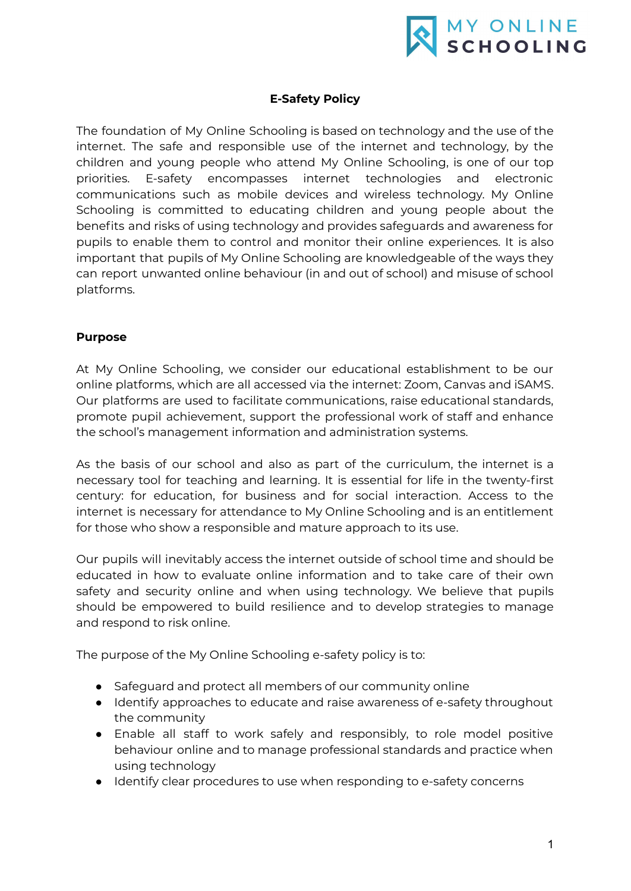

### **E-Safety Policy**

The foundation of My Online Schooling is based on technology and the use of the internet. The safe and responsible use of the internet and technology, by the children and young people who attend My Online Schooling, is one of our top priorities. E-safety encompasses internet technologies and electronic communications such as mobile devices and wireless technology. My Online Schooling is committed to educating children and young people about the benefits and risks of using technology and provides safeguards and awareness for pupils to enable them to control and monitor their online experiences. It is also important that pupils of My Online Schooling are knowledgeable of the ways they can report unwanted online behaviour (in and out of school) and misuse of school platforms.

### **Purpose**

At My Online Schooling, we consider our educational establishment to be our online platforms, which are all accessed via the internet: Zoom, Canvas and iSAMS. Our platforms are used to facilitate communications, raise educational standards, promote pupil achievement, support the professional work of staff and enhance the school's management information and administration systems.

As the basis of our school and also as part of the curriculum, the internet is a necessary tool for teaching and learning. It is essential for life in the twenty-first century: for education, for business and for social interaction. Access to the internet is necessary for attendance to My Online Schooling and is an entitlement for those who show a responsible and mature approach to its use.

Our pupils will inevitably access the internet outside of school time and should be educated in how to evaluate online information and to take care of their own safety and security online and when using technology. We believe that pupils should be empowered to build resilience and to develop strategies to manage and respond to risk online.

The purpose of the My Online Schooling e-safety policy is to:

- Safeguard and protect all members of our community online
- Identify approaches to educate and raise awareness of e-safety throughout the community
- Enable all staff to work safely and responsibly, to role model positive behaviour online and to manage professional standards and practice when using technology
- Identify clear procedures to use when responding to e-safety concerns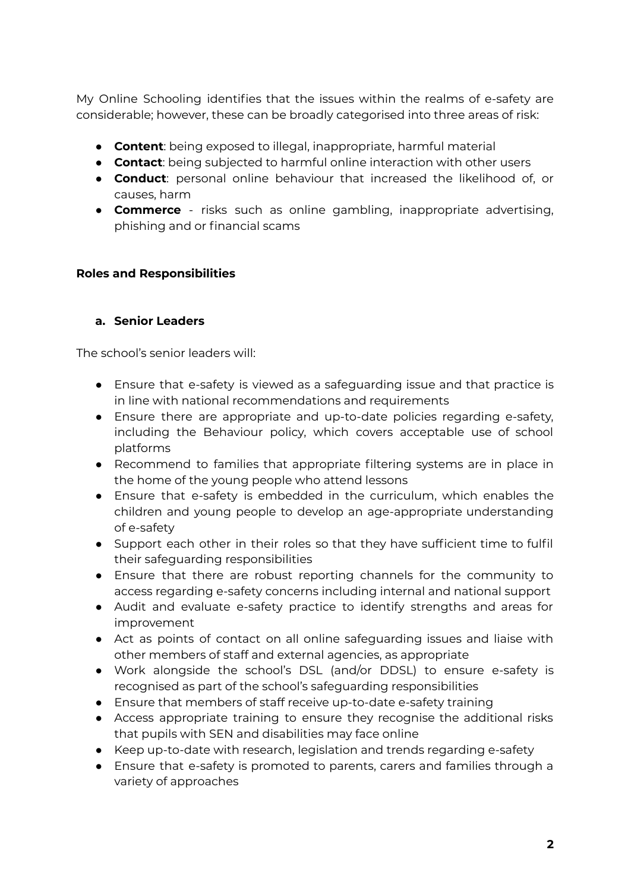My Online Schooling identifies that the issues within the realms of e-safety are considerable; however, these can be broadly categorised into three areas of risk:

- **Content**: being exposed to illegal, inappropriate, harmful material
- **Contact**: being subjected to harmful online interaction with other users
- **Conduct**: personal online behaviour that increased the likelihood of, or causes, harm
- **Commerce** risks such as online gambling, inappropriate advertising, phishing and or financial scams

### **Roles and Responsibilities**

### **a. Senior Leaders**

The school's senior leaders will:

- Ensure that e-safety is viewed as a safeguarding issue and that practice is in line with national recommendations and requirements
- Ensure there are appropriate and up-to-date policies regarding e-safety, including the Behaviour policy, which covers acceptable use of school platforms
- Recommend to families that appropriate filtering systems are in place in the home of the young people who attend lessons
- Ensure that e-safety is embedded in the curriculum, which enables the children and young people to develop an age-appropriate understanding of e-safety
- Support each other in their roles so that they have sufficient time to fulfil their safeguarding responsibilities
- Ensure that there are robust reporting channels for the community to access regarding e-safety concerns including internal and national support
- Audit and evaluate e-safety practice to identify strengths and areas for improvement
- Act as points of contact on all online safeguarding issues and liaise with other members of staff and external agencies, as appropriate
- Work alongside the school's DSL (and/or DDSL) to ensure e-safety is recognised as part of the school's safeguarding responsibilities
- Ensure that members of staff receive up-to-date e-safety training
- Access appropriate training to ensure they recognise the additional risks that pupils with SEN and disabilities may face online
- Keep up-to-date with research, legislation and trends regarding e-safety
- Ensure that e-safety is promoted to parents, carers and families through a variety of approaches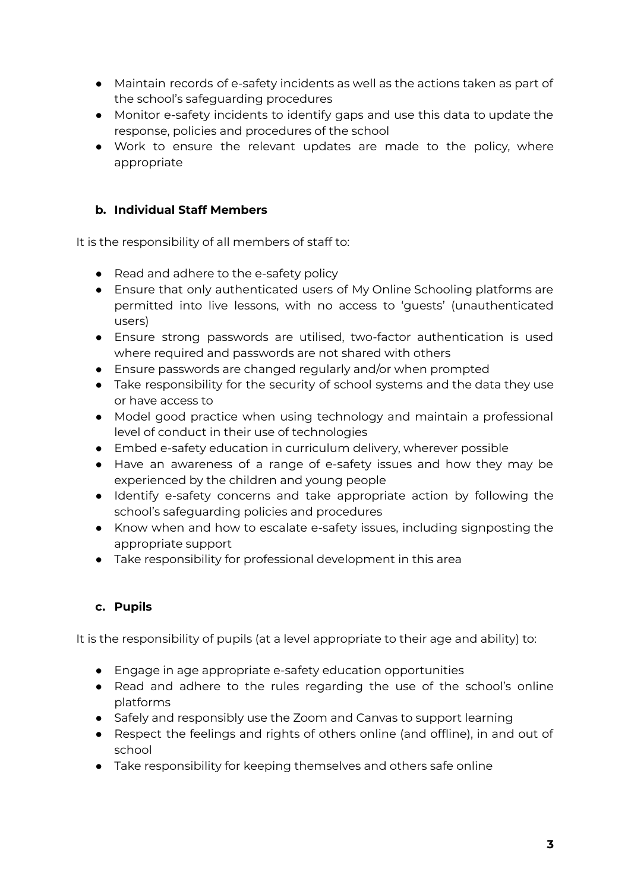- Maintain records of e-safety incidents as well as the actions taken as part of the school's safeguarding procedures
- Monitor e-safety incidents to identify gaps and use this data to update the response, policies and procedures of the school
- Work to ensure the relevant updates are made to the policy, where appropriate

## **b. Individual Staff Members**

It is the responsibility of all members of staff to:

- Read and adhere to the e-safety policy
- Ensure that only authenticated users of My Online Schooling platforms are permitted into live lessons, with no access to 'guests' (unauthenticated users)
- Ensure strong passwords are utilised, two-factor authentication is used where required and passwords are not shared with others
- Ensure passwords are changed regularly and/or when prompted
- Take responsibility for the security of school systems and the data they use or have access to
- Model good practice when using technology and maintain a professional level of conduct in their use of technologies
- Embed e-safety education in curriculum delivery, wherever possible
- Have an awareness of a range of e-safety issues and how they may be experienced by the children and young people
- Identify e-safety concerns and take appropriate action by following the school's safeguarding policies and procedures
- Know when and how to escalate e-safety issues, including signposting the appropriate support
- Take responsibility for professional development in this area

## **c. Pupils**

It is the responsibility of pupils (at a level appropriate to their age and ability) to:

- Engage in age appropriate e-safety education opportunities
- Read and adhere to the rules regarding the use of the school's online platforms
- Safely and responsibly use the Zoom and Canvas to support learning
- Respect the feelings and rights of others online (and offline), in and out of school
- Take responsibility for keeping themselves and others safe online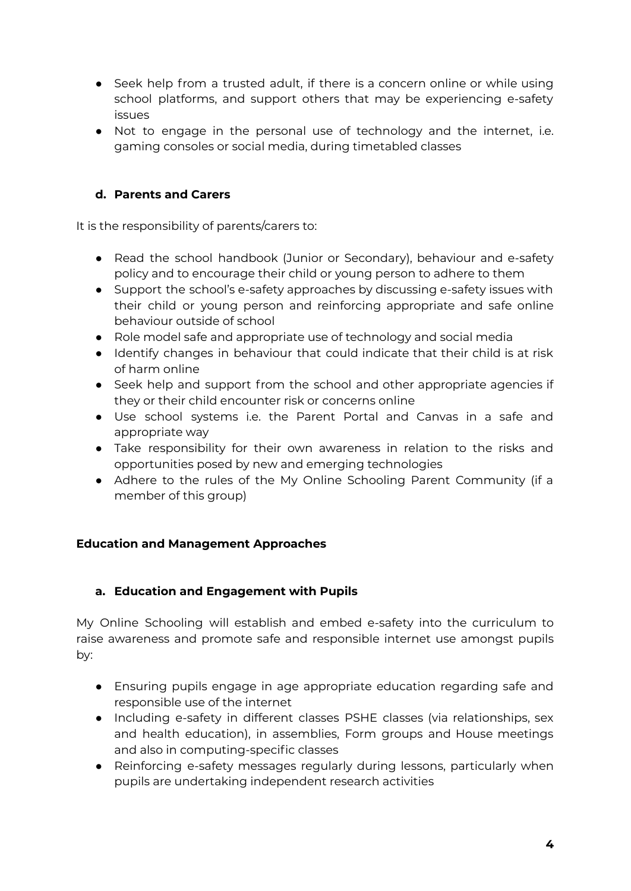- Seek help from a trusted adult, if there is a concern online or while using school platforms, and support others that may be experiencing e-safety issues
- Not to engage in the personal use of technology and the internet, i.e. gaming consoles or social media, during timetabled classes

## **d. Parents and Carers**

It is the responsibility of parents/carers to:

- Read the school handbook (Junior or Secondary), behaviour and e-safety policy and to encourage their child or young person to adhere to them
- Support the school's e-safety approaches by discussing e-safety issues with their child or young person and reinforcing appropriate and safe online behaviour outside of school
- Role model safe and appropriate use of technology and social media
- Identify changes in behaviour that could indicate that their child is at risk of harm online
- Seek help and support from the school and other appropriate agencies if they or their child encounter risk or concerns online
- Use school systems i.e. the Parent Portal and Canvas in a safe and appropriate way
- Take responsibility for their own awareness in relation to the risks and opportunities posed by new and emerging technologies
- Adhere to the rules of the My Online Schooling Parent Community (if a member of this group)

## **Education and Management Approaches**

## **a. Education and Engagement with Pupils**

My Online Schooling will establish and embed e-safety into the curriculum to raise awareness and promote safe and responsible internet use amongst pupils by:

- Ensuring pupils engage in age appropriate education regarding safe and responsible use of the internet
- Including e-safety in different classes PSHE classes (via relationships, sex and health education), in assemblies, Form groups and House meetings and also in computing-specific classes
- Reinforcing e-safety messages regularly during lessons, particularly when pupils are undertaking independent research activities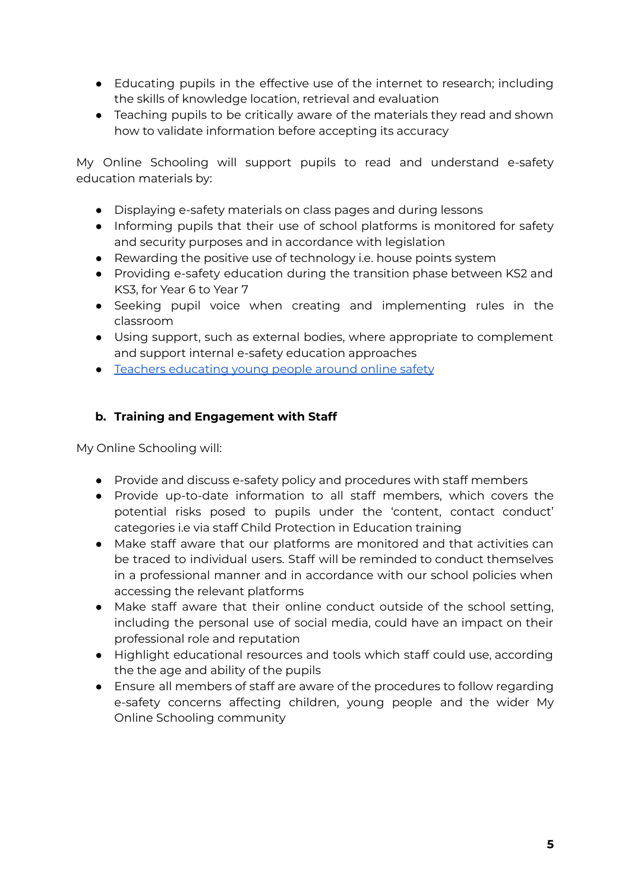- Educating pupils in the effective use of the internet to research; including the skills of knowledge location, retrieval and evaluation
- Teaching pupils to be critically aware of the materials they read and shown how to validate information before accepting its accuracy

My Online Schooling will support pupils to read and understand e-safety education materials by:

- Displaying e-safety materials on class pages and during lessons
- Informing pupils that their use of school platforms is monitored for safety and security purposes and in accordance with legislation
- Rewarding the positive use of technology i.e. house points system
- Providing e-safety education during the transition phase between KS2 and KS3, for Year 6 to Year 7
- Seeking pupil voice when creating and implementing rules in the classroom
- Using support, such as external bodies, where appropriate to complement and support internal e-safety education approaches
- Teachers [educating](https://www.gov.uk/government/publications/teaching-online-safety-in-schools) young people around online safety

## **b. Training and Engagement with Staff**

My Online Schooling will:

- Provide and discuss e-safety policy and procedures with staff members
- Provide up-to-date information to all staff members, which covers the potential risks posed to pupils under the 'content, contact conduct' categories i.e via staff Child Protection in Education training
- Make staff aware that our platforms are monitored and that activities can be traced to individual users. Staff will be reminded to conduct themselves in a professional manner and in accordance with our school policies when accessing the relevant platforms
- Make staff aware that their online conduct outside of the school setting, including the personal use of social media, could have an impact on their professional role and reputation
- Highlight educational resources and tools which staff could use, according the the age and ability of the pupils
- Ensure all members of staff are aware of the procedures to follow regarding e-safety concerns affecting children, young people and the wider My Online Schooling community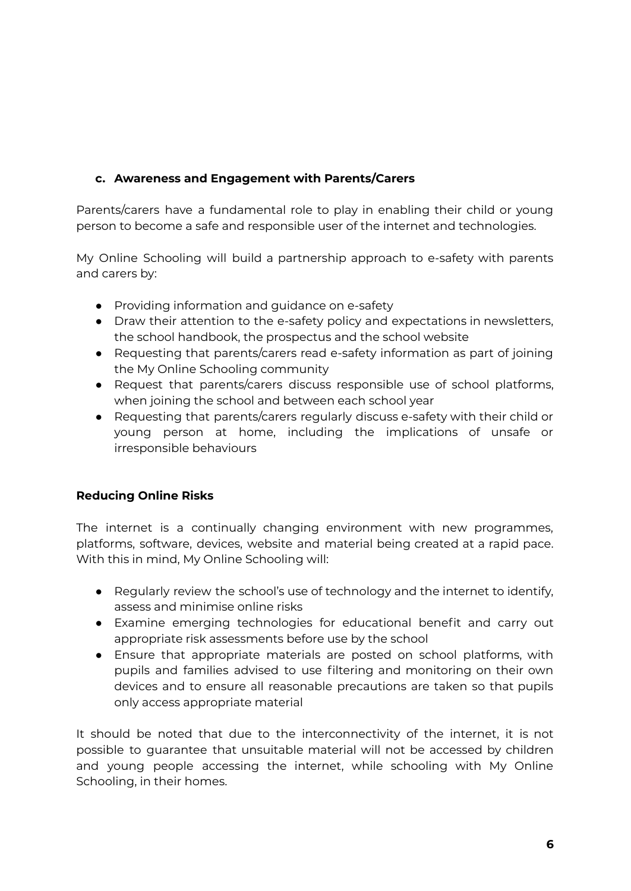## **c. Awareness and Engagement with Parents/Carers**

Parents/carers have a fundamental role to play in enabling their child or young person to become a safe and responsible user of the internet and technologies.

My Online Schooling will build a partnership approach to e-safety with parents and carers by:

- Providing information and quidance on e-safety
- Draw their attention to the e-safety policy and expectations in newsletters, the school handbook, the prospectus and the school website
- Requesting that parents/carers read e-safety information as part of joining the My Online Schooling community
- Request that parents/carers discuss responsible use of school platforms, when joining the school and between each school year
- Requesting that parents/carers regularly discuss e-safety with their child or young person at home, including the implications of unsafe or irresponsible behaviours

## **Reducing Online Risks**

The internet is a continually changing environment with new programmes, platforms, software, devices, website and material being created at a rapid pace. With this in mind, My Online Schooling will:

- Regularly review the school's use of technology and the internet to identify, assess and minimise online risks
- Examine emerging technologies for educational benefit and carry out appropriate risk assessments before use by the school
- Ensure that appropriate materials are posted on school platforms, with pupils and families advised to use filtering and monitoring on their own devices and to ensure all reasonable precautions are taken so that pupils only access appropriate material

It should be noted that due to the interconnectivity of the internet, it is not possible to guarantee that unsuitable material will not be accessed by children and young people accessing the internet, while schooling with My Online Schooling, in their homes.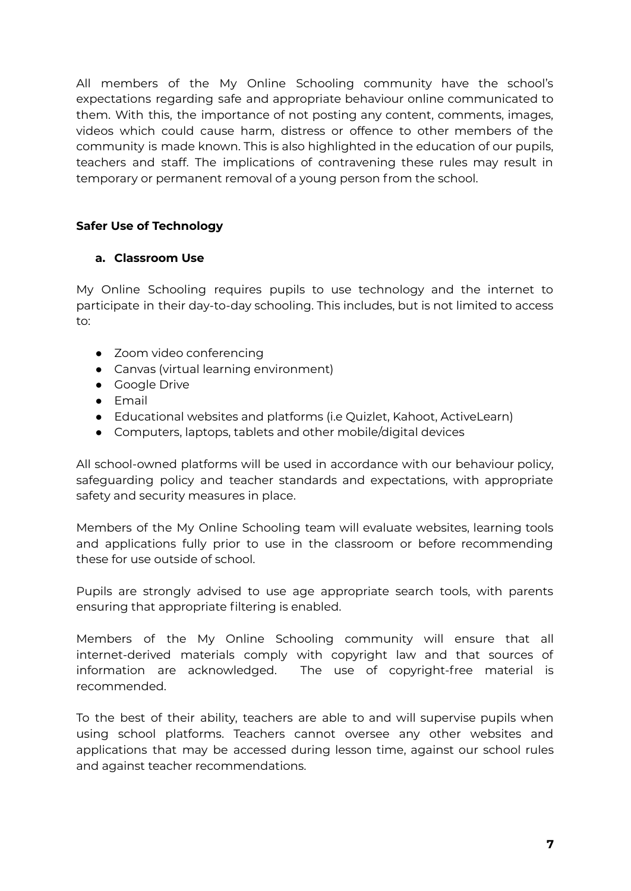All members of the My Online Schooling community have the school's expectations regarding safe and appropriate behaviour online communicated to them. With this, the importance of not posting any content, comments, images, videos which could cause harm, distress or offence to other members of the community is made known. This is also highlighted in the education of our pupils, teachers and staff. The implications of contravening these rules may result in temporary or permanent removal of a young person from the school.

## **Safer Use of Technology**

### **a. Classroom Use**

My Online Schooling requires pupils to use technology and the internet to participate in their day-to-day schooling. This includes, but is not limited to access to:

- Zoom video conferencing
- Canvas (virtual learning environment)
- Google Drive
- Email
- Educational websites and platforms (i.e Quizlet, Kahoot, ActiveLearn)
- Computers, laptops, tablets and other mobile/digital devices

All school-owned platforms will be used in accordance with our behaviour policy, safeguarding policy and teacher standards and expectations, with appropriate safety and security measures in place.

Members of the My Online Schooling team will evaluate websites, learning tools and applications fully prior to use in the classroom or before recommending these for use outside of school.

Pupils are strongly advised to use age appropriate search tools, with parents ensuring that appropriate filtering is enabled.

Members of the My Online Schooling community will ensure that all internet-derived materials comply with copyright law and that sources of information are acknowledged. The use of copyright-free material is recommended.

To the best of their ability, teachers are able to and will supervise pupils when using school platforms. Teachers cannot oversee any other websites and applications that may be accessed during lesson time, against our school rules and against teacher recommendations.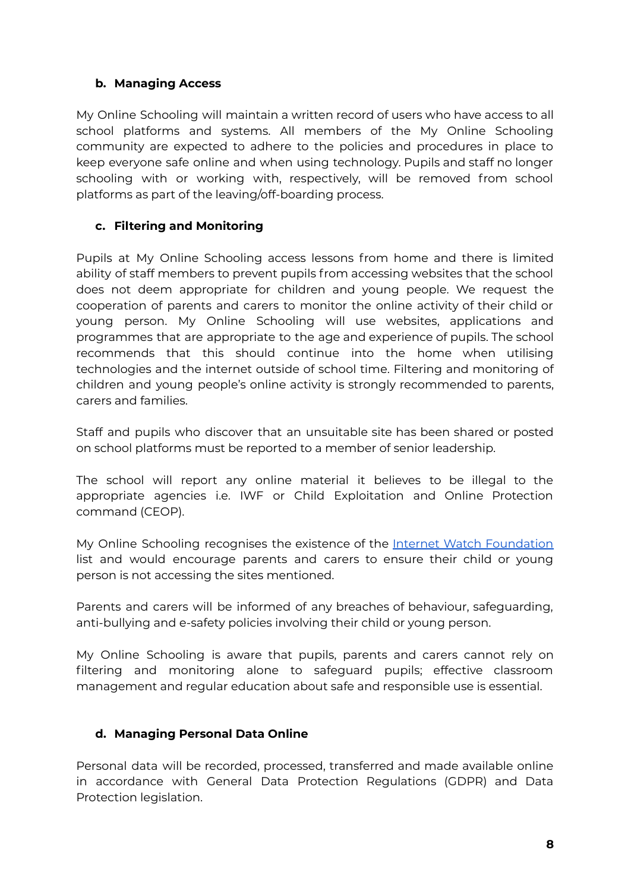### **b. Managing Access**

My Online Schooling will maintain a written record of users who have access to all school platforms and systems. All members of the My Online Schooling community are expected to adhere to the policies and procedures in place to keep everyone safe online and when using technology. Pupils and staff no longer schooling with or working with, respectively, will be removed from school platforms as part of the leaving/off-boarding process.

## **c. Filtering and Monitoring**

Pupils at My Online Schooling access lessons from home and there is limited ability of staff members to prevent pupils from accessing websites that the school does not deem appropriate for children and young people. We request the cooperation of parents and carers to monitor the online activity of their child or young person. My Online Schooling will use websites, applications and programmes that are appropriate to the age and experience of pupils. The school recommends that this should continue into the home when utilising technologies and the internet outside of school time. Filtering and monitoring of children and young people's online activity is strongly recommended to parents, carers and families.

Staff and pupils who discover that an unsuitable site has been shared or posted on school platforms must be reported to a member of senior leadership.

The school will report any online material it believes to be illegal to the appropriate agencies i.e. IWF or Child Exploitation and Online Protection command (CEOP).

My Online Schooling recognises the existence of the Internet Watch [Foundation](https://www.iwf.org.uk/) list and would encourage parents and carers to ensure their child or young person is not accessing the sites mentioned.

Parents and carers will be informed of any breaches of behaviour, safeguarding, anti-bullying and e-safety policies involving their child or young person.

My Online Schooling is aware that pupils, parents and carers cannot rely on filtering and monitoring alone to safeguard pupils; effective classroom management and regular education about safe and responsible use is essential.

## **d. Managing Personal Data Online**

Personal data will be recorded, processed, transferred and made available online in accordance with General Data Protection Regulations (GDPR) and Data Protection legislation.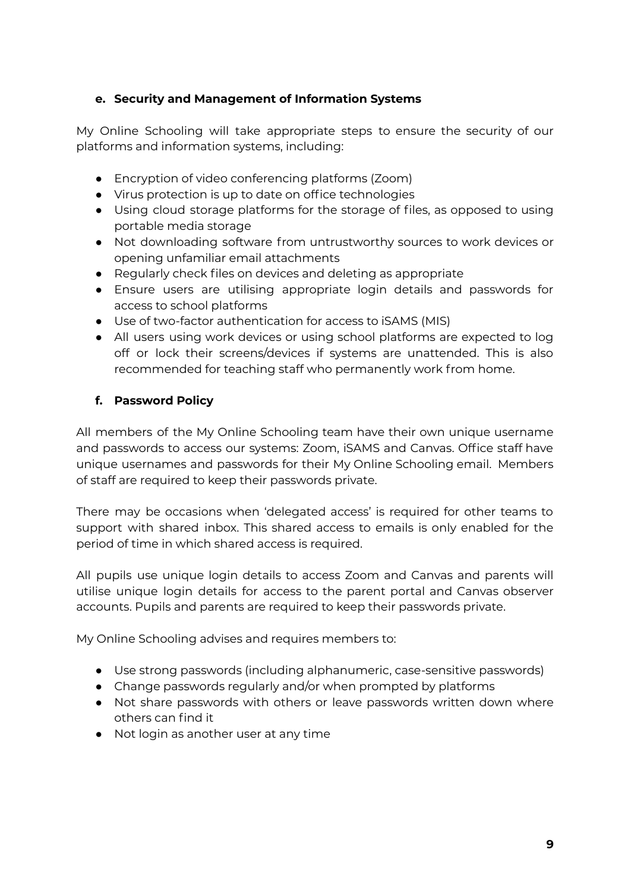## **e. Security and Management of Information Systems**

My Online Schooling will take appropriate steps to ensure the security of our platforms and information systems, including:

- Encryption of video conferencing platforms (Zoom)
- Virus protection is up to date on office technologies
- Using cloud storage platforms for the storage of files, as opposed to using portable media storage
- Not downloading software from untrustworthy sources to work devices or opening unfamiliar email attachments
- Regularly check files on devices and deleting as appropriate
- Ensure users are utilising appropriate login details and passwords for access to school platforms
- Use of two-factor authentication for access to iSAMS (MIS)
- All users using work devices or using school platforms are expected to log off or lock their screens/devices if systems are unattended. This is also recommended for teaching staff who permanently work from home.

## **f. Password Policy**

All members of the My Online Schooling team have their own unique username and passwords to access our systems: Zoom, iSAMS and Canvas. Office staff have unique usernames and passwords for their My Online Schooling email. Members of staff are required to keep their passwords private.

There may be occasions when 'delegated access' is required for other teams to support with shared inbox. This shared access to emails is only enabled for the period of time in which shared access is required.

All pupils use unique login details to access Zoom and Canvas and parents will utilise unique login details for access to the parent portal and Canvas observer accounts. Pupils and parents are required to keep their passwords private.

My Online Schooling advises and requires members to:

- Use strong passwords (including alphanumeric, case-sensitive passwords)
- Change passwords regularly and/or when prompted by platforms
- Not share passwords with others or leave passwords written down where others can find it
- Not login as another user at any time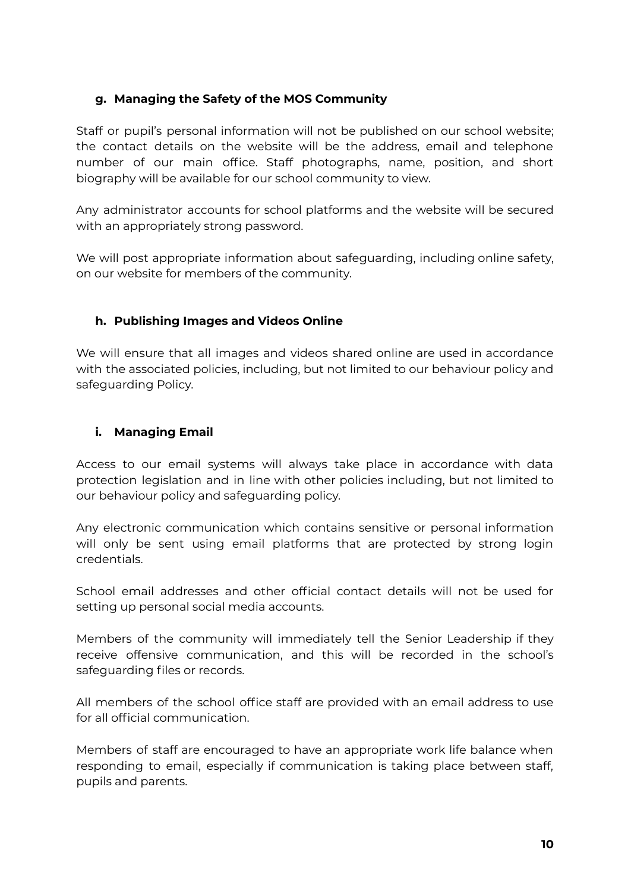## **g. Managing the Safety of the MOS Community**

Staff or pupil's personal information will not be published on our school website; the contact details on the website will be the address, email and telephone number of our main office. Staff photographs, name, position, and short biography will be available for our school community to view.

Any administrator accounts for school platforms and the website will be secured with an appropriately strong password.

We will post appropriate information about safeguarding, including online safety, on our website for members of the community.

## **h. Publishing Images and Videos Online**

We will ensure that all images and videos shared online are used in accordance with the associated policies, including, but not limited to our behaviour policy and safeguarding Policy.

## **i. Managing Email**

Access to our email systems will always take place in accordance with data protection legislation and in line with other policies including, but not limited to our behaviour policy and safeguarding policy.

Any electronic communication which contains sensitive or personal information will only be sent using email platforms that are protected by strong login credentials.

School email addresses and other official contact details will not be used for setting up personal social media accounts.

Members of the community will immediately tell the Senior Leadership if they receive offensive communication, and this will be recorded in the school's safeguarding files or records.

All members of the school office staff are provided with an email address to use for all official communication.

Members of staff are encouraged to have an appropriate work life balance when responding to email, especially if communication is taking place between staff, pupils and parents.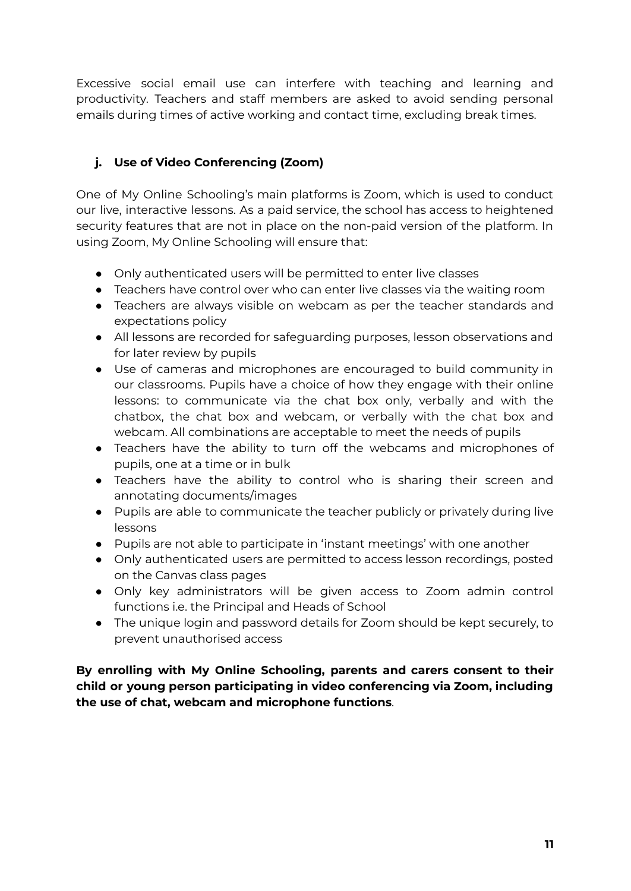Excessive social email use can interfere with teaching and learning and productivity. Teachers and staff members are asked to avoid sending personal emails during times of active working and contact time, excluding break times.

## **j. Use of Video Conferencing (Zoom)**

One of My Online Schooling's main platforms is Zoom, which is used to conduct our live, interactive lessons. As a paid service, the school has access to heightened security features that are not in place on the non-paid version of the platform. In using Zoom, My Online Schooling will ensure that:

- Only authenticated users will be permitted to enter live classes
- Teachers have control over who can enter live classes via the waiting room
- Teachers are always visible on webcam as per the teacher standards and expectations policy
- All lessons are recorded for safeguarding purposes, lesson observations and for later review by pupils
- Use of cameras and microphones are encouraged to build community in our classrooms. Pupils have a choice of how they engage with their online lessons: to communicate via the chat box only, verbally and with the chatbox, the chat box and webcam, or verbally with the chat box and webcam. All combinations are acceptable to meet the needs of pupils
- Teachers have the ability to turn off the webcams and microphones of pupils, one at a time or in bulk
- Teachers have the ability to control who is sharing their screen and annotating documents/images
- Pupils are able to communicate the teacher publicly or privately during live lessons
- Pupils are not able to participate in 'instant meetings' with one another
- Only authenticated users are permitted to access lesson recordings, posted on the Canvas class pages
- Only key administrators will be given access to Zoom admin control functions i.e. the Principal and Heads of School
- The unique login and password details for Zoom should be kept securely, to prevent unauthorised access

**By enrolling with My Online Schooling, parents and carers consent to their child or young person participating in video conferencing via Zoom, including the use of chat, webcam and microphone functions**.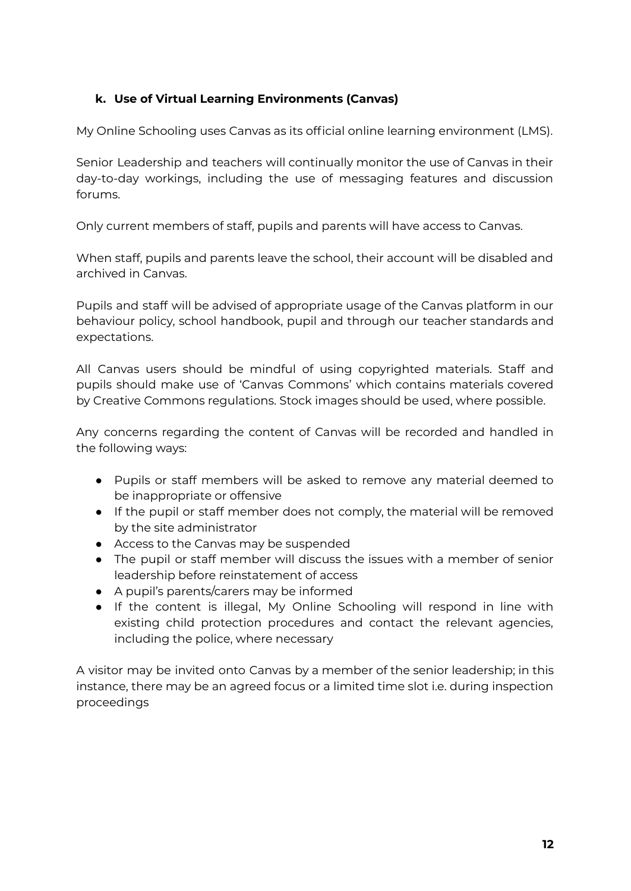## **k. Use of Virtual Learning Environments (Canvas)**

My Online Schooling uses Canvas as its official online learning environment (LMS).

Senior Leadership and teachers will continually monitor the use of Canvas in their day-to-day workings, including the use of messaging features and discussion forums.

Only current members of staff, pupils and parents will have access to Canvas.

When staff, pupils and parents leave the school, their account will be disabled and archived in Canvas.

Pupils and staff will be advised of appropriate usage of the Canvas platform in our behaviour policy, school handbook, pupil and through our teacher standards and expectations.

All Canvas users should be mindful of using copyrighted materials. Staff and pupils should make use of 'Canvas Commons' which contains materials covered by Creative Commons regulations. Stock images should be used, where possible.

Any concerns regarding the content of Canvas will be recorded and handled in the following ways:

- Pupils or staff members will be asked to remove any material deemed to be inappropriate or offensive
- If the pupil or staff member does not comply, the material will be removed by the site administrator
- Access to the Canvas may be suspended
- The pupil or staff member will discuss the issues with a member of senior leadership before reinstatement of access
- A pupil's parents/carers may be informed
- If the content is illegal, My Online Schooling will respond in line with existing child protection procedures and contact the relevant agencies, including the police, where necessary

A visitor may be invited onto Canvas by a member of the senior leadership; in this instance, there may be an agreed focus or a limited time slot i.e. during inspection proceedings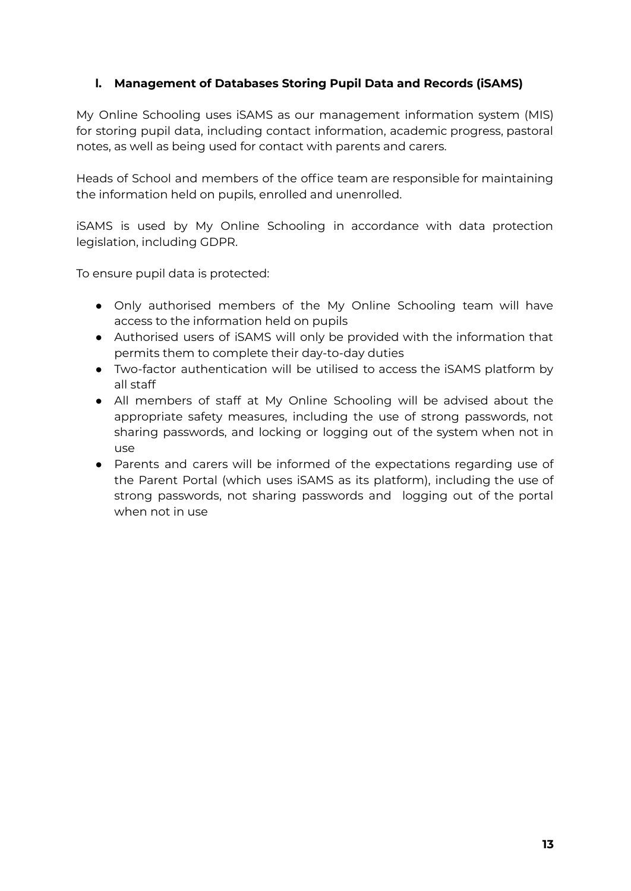### **l. Management of Databases Storing Pupil Data and Records (iSAMS)**

My Online Schooling uses iSAMS as our management information system (MIS) for storing pupil data, including contact information, academic progress, pastoral notes, as well as being used for contact with parents and carers.

Heads of School and members of the office team are responsible for maintaining the information held on pupils, enrolled and unenrolled.

iSAMS is used by My Online Schooling in accordance with data protection legislation, including GDPR.

To ensure pupil data is protected:

- Only authorised members of the My Online Schooling team will have access to the information held on pupils
- Authorised users of iSAMS will only be provided with the information that permits them to complete their day-to-day duties
- Two-factor authentication will be utilised to access the iSAMS platform by all staff
- All members of staff at My Online Schooling will be advised about the appropriate safety measures, including the use of strong passwords, not sharing passwords, and locking or logging out of the system when not in use
- Parents and carers will be informed of the expectations regarding use of the Parent Portal (which uses iSAMS as its platform), including the use of strong passwords, not sharing passwords and logging out of the portal when not in use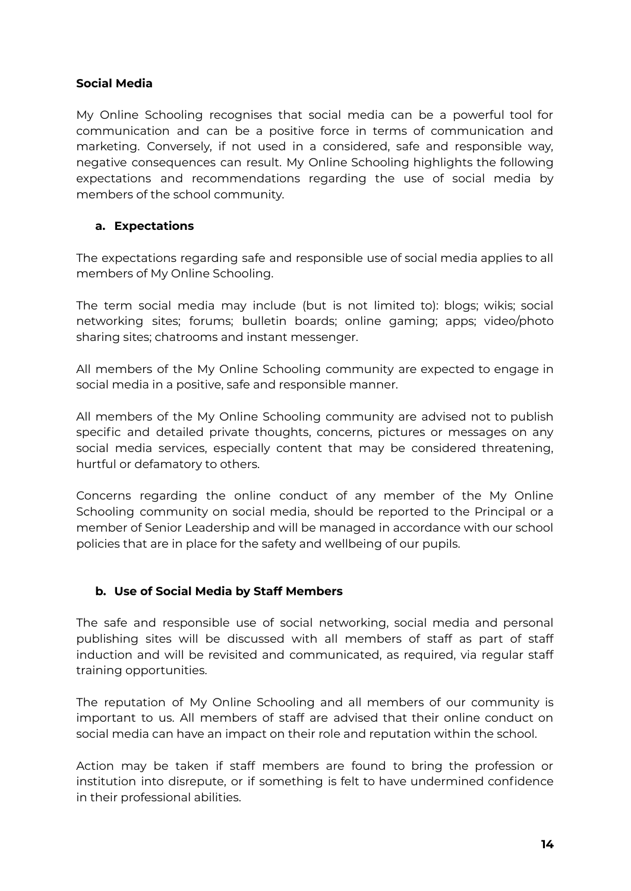### **Social Media**

My Online Schooling recognises that social media can be a powerful tool for communication and can be a positive force in terms of communication and marketing. Conversely, if not used in a considered, safe and responsible way, negative consequences can result. My Online Schooling highlights the following expectations and recommendations regarding the use of social media by members of the school community.

### **a. Expectations**

The expectations regarding safe and responsible use of social media applies to all members of My Online Schooling.

The term social media may include (but is not limited to): blogs; wikis; social networking sites; forums; bulletin boards; online gaming; apps; video/photo sharing sites; chatrooms and instant messenger.

All members of the My Online Schooling community are expected to engage in social media in a positive, safe and responsible manner.

All members of the My Online Schooling community are advised not to publish specific and detailed private thoughts, concerns, pictures or messages on any social media services, especially content that may be considered threatening, hurtful or defamatory to others.

Concerns regarding the online conduct of any member of the My Online Schooling community on social media, should be reported to the Principal or a member of Senior Leadership and will be managed in accordance with our school policies that are in place for the safety and wellbeing of our pupils.

## **b. Use of Social Media by Staff Members**

The safe and responsible use of social networking, social media and personal publishing sites will be discussed with all members of staff as part of staff induction and will be revisited and communicated, as required, via regular staff training opportunities.

The reputation of My Online Schooling and all members of our community is important to us. All members of staff are advised that their online conduct on social media can have an impact on their role and reputation within the school.

Action may be taken if staff members are found to bring the profession or institution into disrepute, or if something is felt to have undermined confidence in their professional abilities.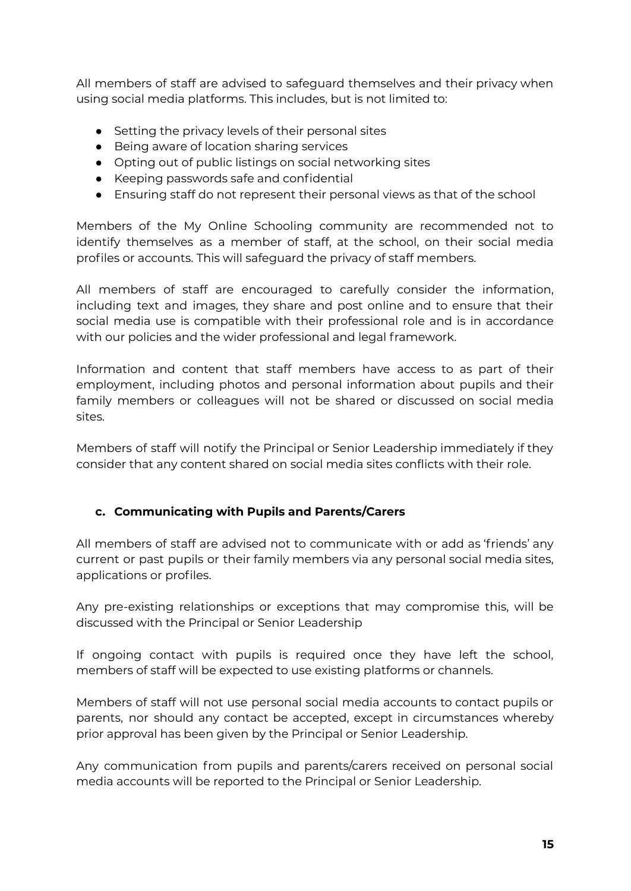All members of staff are advised to safeguard themselves and their privacy when using social media platforms. This includes, but is not limited to:

- Setting the privacy levels of their personal sites
- Being aware of location sharing services
- Opting out of public listings on social networking sites
- Keeping passwords safe and confidential
- Ensuring staff do not represent their personal views as that of the school

Members of the My Online Schooling community are recommended not to identify themselves as a member of staff, at the school, on their social media profiles or accounts. This will safeguard the privacy of staff members.

All members of staff are encouraged to carefully consider the information, including text and images, they share and post online and to ensure that their social media use is compatible with their professional role and is in accordance with our policies and the wider professional and legal framework.

Information and content that staff members have access to as part of their employment, including photos and personal information about pupils and their family members or colleagues will not be shared or discussed on social media sites.

Members of staff will notify the Principal or Senior Leadership immediately if they consider that any content shared on social media sites conflicts with their role.

## **c. Communicating with Pupils and Parents/Carers**

All members of staff are advised not to communicate with or add as 'friends' any current or past pupils or their family members via any personal social media sites, applications or profiles.

Any pre-existing relationships or exceptions that may compromise this, will be discussed with the Principal or Senior Leadership

If ongoing contact with pupils is required once they have left the school, members of staff will be expected to use existing platforms or channels.

Members of staff will not use personal social media accounts to contact pupils or parents, nor should any contact be accepted, except in circumstances whereby prior approval has been given by the Principal or Senior Leadership.

Any communication from pupils and parents/carers received on personal social media accounts will be reported to the Principal or Senior Leadership.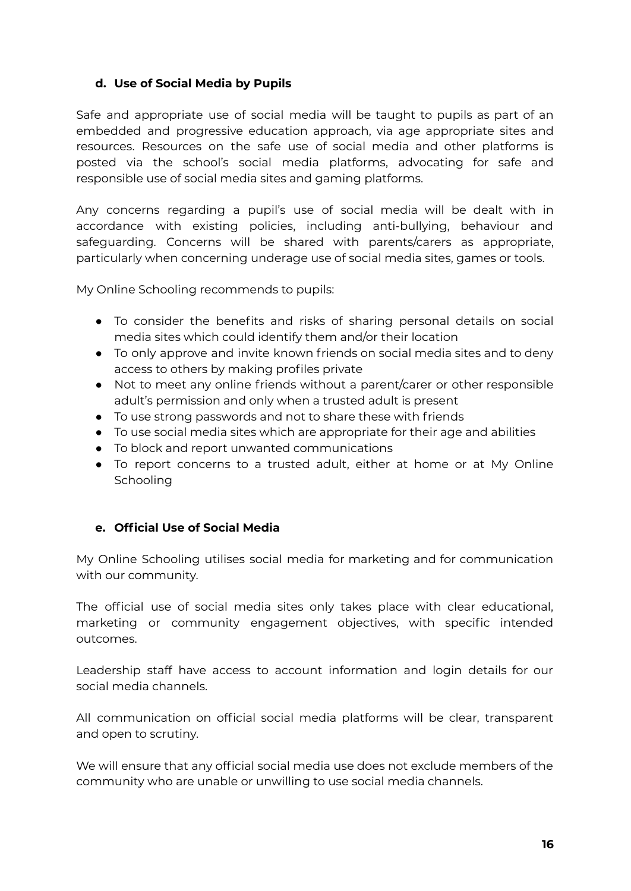### **d. Use of Social Media by Pupils**

Safe and appropriate use of social media will be taught to pupils as part of an embedded and progressive education approach, via age appropriate sites and resources. Resources on the safe use of social media and other platforms is posted via the school's social media platforms, advocating for safe and responsible use of social media sites and gaming platforms.

Any concerns regarding a pupil's use of social media will be dealt with in accordance with existing policies, including anti-bullying, behaviour and safeguarding. Concerns will be shared with parents/carers as appropriate, particularly when concerning underage use of social media sites, games or tools.

My Online Schooling recommends to pupils:

- To consider the benefits and risks of sharing personal details on social media sites which could identify them and/or their location
- To only approve and invite known friends on social media sites and to deny access to others by making profiles private
- Not to meet any online friends without a parent/carer or other responsible adult's permission and only when a trusted adult is present
- To use strong passwords and not to share these with friends
- To use social media sites which are appropriate for their age and abilities
- To block and report unwanted communications
- To report concerns to a trusted adult, either at home or at My Online Schooling

### **e. Official Use of Social Media**

My Online Schooling utilises social media for marketing and for communication with our community.

The official use of social media sites only takes place with clear educational, marketing or community engagement objectives, with specific intended outcomes.

Leadership staff have access to account information and login details for our social media channels.

All communication on official social media platforms will be clear, transparent and open to scrutiny.

We will ensure that any official social media use does not exclude members of the community who are unable or unwilling to use social media channels.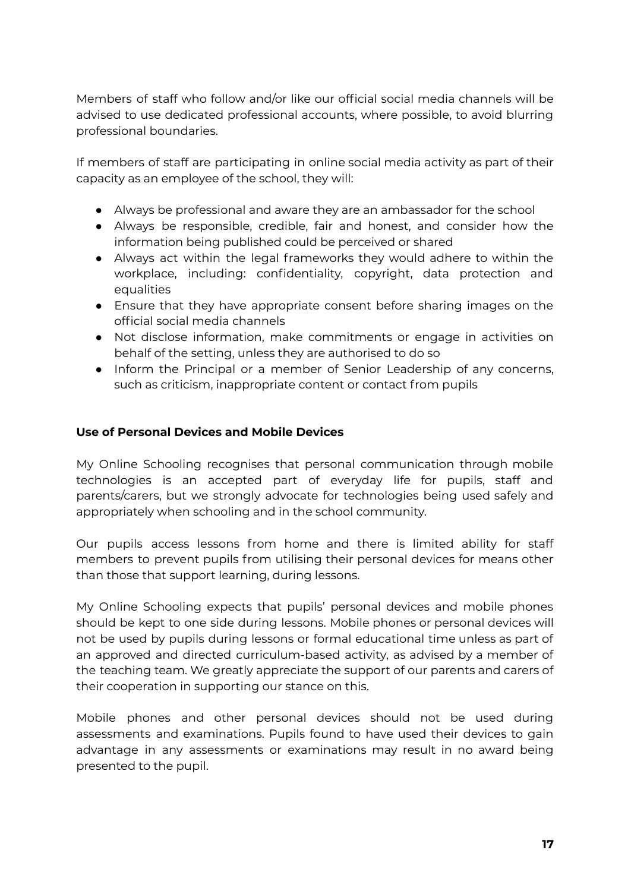Members of staff who follow and/or like our official social media channels will be advised to use dedicated professional accounts, where possible, to avoid blurring professional boundaries.

If members of staff are participating in online social media activity as part of their capacity as an employee of the school, they will:

- Always be professional and aware they are an ambassador for the school
- Always be responsible, credible, fair and honest, and consider how the information being published could be perceived or shared
- Always act within the legal frameworks they would adhere to within the workplace, including: confidentiality, copyright, data protection and equalities
- Ensure that they have appropriate consent before sharing images on the official social media channels
- Not disclose information, make commitments or engage in activities on behalf of the setting, unless they are authorised to do so
- Inform the Principal or a member of Senior Leadership of any concerns, such as criticism, inappropriate content or contact from pupils

### **Use of Personal Devices and Mobile Devices**

My Online Schooling recognises that personal communication through mobile technologies is an accepted part of everyday life for pupils, staff and parents/carers, but we strongly advocate for technologies being used safely and appropriately when schooling and in the school community.

Our pupils access lessons from home and there is limited ability for staff members to prevent pupils from utilising their personal devices for means other than those that support learning, during lessons.

My Online Schooling expects that pupils' personal devices and mobile phones should be kept to one side during lessons. Mobile phones or personal devices will not be used by pupils during lessons or formal educational time unless as part of an approved and directed curriculum-based activity, as advised by a member of the teaching team. We greatly appreciate the support of our parents and carers of their cooperation in supporting our stance on this.

Mobile phones and other personal devices should not be used during assessments and examinations. Pupils found to have used their devices to gain advantage in any assessments or examinations may result in no award being presented to the pupil.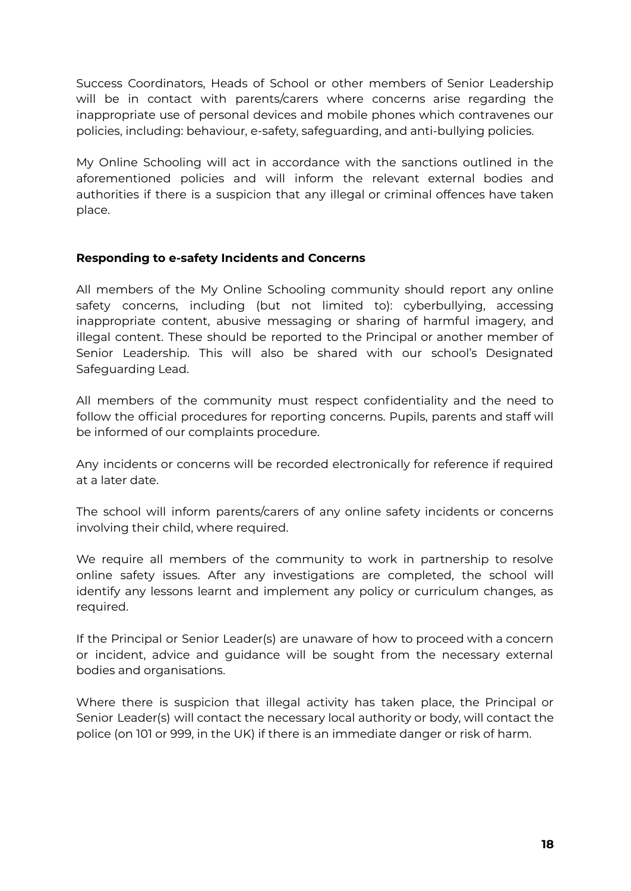Success Coordinators, Heads of School or other members of Senior Leadership will be in contact with parents/carers where concerns arise regarding the inappropriate use of personal devices and mobile phones which contravenes our policies, including: behaviour, e-safety, safeguarding, and anti-bullying policies.

My Online Schooling will act in accordance with the sanctions outlined in the aforementioned policies and will inform the relevant external bodies and authorities if there is a suspicion that any illegal or criminal offences have taken place.

### **Responding to e-safety Incidents and Concerns**

All members of the My Online Schooling community should report any online safety concerns, including (but not limited to): cyberbullying, accessing inappropriate content, abusive messaging or sharing of harmful imagery, and illegal content. These should be reported to the Principal or another member of Senior Leadership. This will also be shared with our school's Designated Safeguarding Lead.

All members of the community must respect confidentiality and the need to follow the official procedures for reporting concerns. Pupils, parents and staff will be informed of our complaints procedure.

Any incidents or concerns will be recorded electronically for reference if required at a later date.

The school will inform parents/carers of any online safety incidents or concerns involving their child, where required.

We require all members of the community to work in partnership to resolve online safety issues. After any investigations are completed, the school will identify any lessons learnt and implement any policy or curriculum changes, as required.

If the Principal or Senior Leader(s) are unaware of how to proceed with a concern or incident, advice and guidance will be sought from the necessary external bodies and organisations.

Where there is suspicion that illegal activity has taken place, the Principal or Senior Leader(s) will contact the necessary local authority or body, will contact the police (on 101 or 999, in the UK) if there is an immediate danger or risk of harm.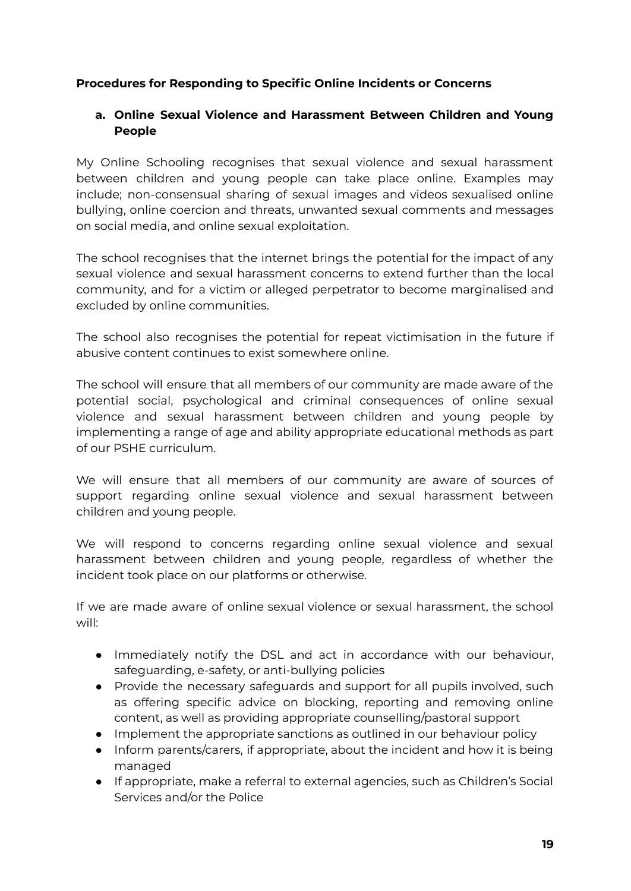### **Procedures for Responding to Specific Online Incidents or Concerns**

## **a. Online Sexual Violence and Harassment Between Children and Young People**

My Online Schooling recognises that sexual violence and sexual harassment between children and young people can take place online. Examples may include; non-consensual sharing of sexual images and videos sexualised online bullying, online coercion and threats, unwanted sexual comments and messages on social media, and online sexual exploitation.

The school recognises that the internet brings the potential for the impact of any sexual violence and sexual harassment concerns to extend further than the local community, and for a victim or alleged perpetrator to become marginalised and excluded by online communities.

The school also recognises the potential for repeat victimisation in the future if abusive content continues to exist somewhere online.

The school will ensure that all members of our community are made aware of the potential social, psychological and criminal consequences of online sexual violence and sexual harassment between children and young people by implementing a range of age and ability appropriate educational methods as part of our PSHE curriculum.

We will ensure that all members of our community are aware of sources of support regarding online sexual violence and sexual harassment between children and young people.

We will respond to concerns regarding online sexual violence and sexual harassment between children and young people, regardless of whether the incident took place on our platforms or otherwise.

If we are made aware of online sexual violence or sexual harassment, the school will:

- Immediately notify the DSL and act in accordance with our behaviour, safeguarding, e-safety, or anti-bullying policies
- Provide the necessary safeguards and support for all pupils involved, such as offering specific advice on blocking, reporting and removing online content, as well as providing appropriate counselling/pastoral support
- Implement the appropriate sanctions as outlined in our behaviour policy
- Inform parents/carers, if appropriate, about the incident and how it is being managed
- If appropriate, make a referral to external agencies, such as Children's Social Services and/or the Police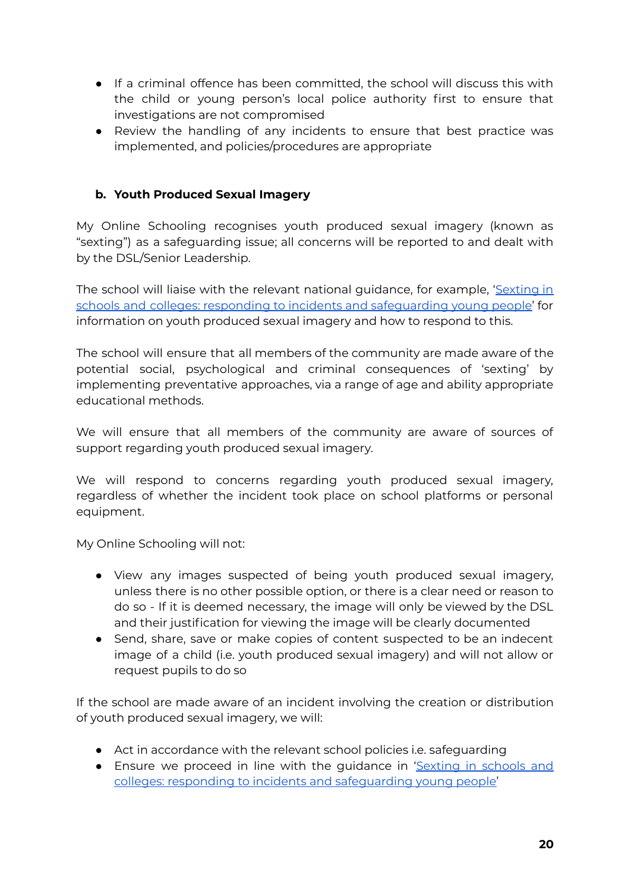- If a criminal offence has been committed, the school will discuss this with the child or young person's local police authority first to ensure that investigations are not compromised
- Review the handling of any incidents to ensure that best practice was implemented, and policies/procedures are appropriate

## **b. Youth Produced Sexual Imagery**

My Online Schooling recognises youth produced sexual imagery (known as "sexting") as a safeguarding issue; all concerns will be reported to and dealt with by the DSL/Senior Leadership.

The school will liaise with the relevant national guidance, for example, ['Sexting](https://www.gov.uk/government/groups/uk-council-for-child-internet-safety-ukccis) in schools and colleges: responding to incidents and [safeguarding](https://www.gov.uk/government/groups/uk-council-for-child-internet-safety-ukccis) young people' for information on youth produced sexual imagery and how to respond to this.

The school will ensure that all members of the community are made aware of the potential social, psychological and criminal consequences of 'sexting' by implementing preventative approaches, via a range of age and ability appropriate educational methods.

We will ensure that all members of the community are aware of sources of support regarding youth produced sexual imagery.

We will respond to concerns regarding youth produced sexual imagery, regardless of whether the incident took place on school platforms or personal equipment.

My Online Schooling will not:

- View any images suspected of being youth produced sexual imagery, unless there is no other possible option, or there is a clear need or reason to do so - If it is deemed necessary, the image will only be viewed by the DSL and their justification for viewing the image will be clearly documented
- Send, share, save or make copies of content suspected to be an indecent image of a child (i.e. youth produced sexual imagery) and will not allow or request pupils to do so

If the school are made aware of an incident involving the creation or distribution of youth produced sexual imagery, we will:

- Act in accordance with the relevant school policies i.e. safeguarding
- Ensure we proceed in line with the guidance in ['Sexting](https://www.gov.uk/government/groups/uk-council-for-child-internet-safety-ukccis) in schools and colleges: responding to incidents and [safeguarding](https://www.gov.uk/government/groups/uk-council-for-child-internet-safety-ukccis) young people'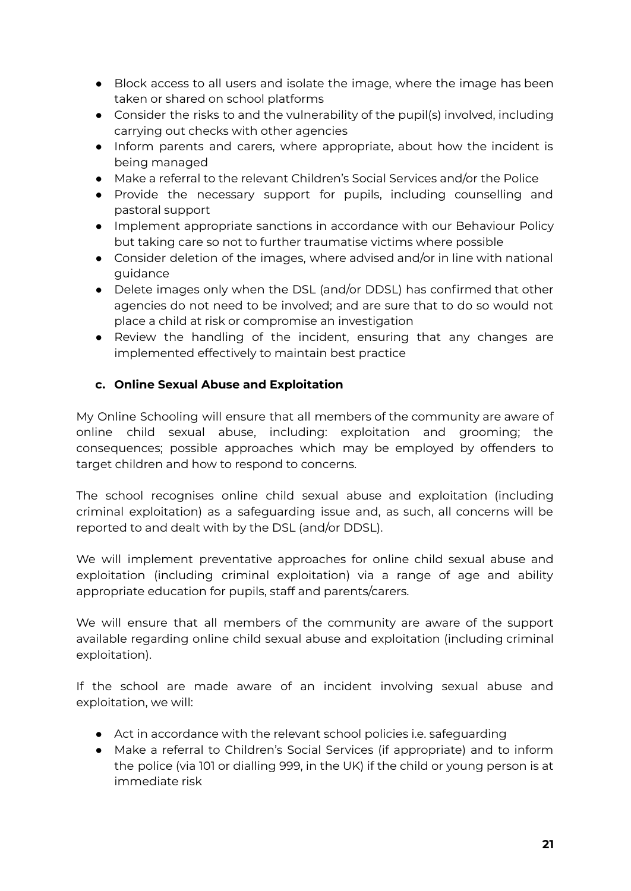- Block access to all users and isolate the image, where the image has been taken or shared on school platforms
- Consider the risks to and the vulnerability of the pupil(s) involved, including carrying out checks with other agencies
- Inform parents and carers, where appropriate, about how the incident is being managed
- Make a referral to the relevant Children's Social Services and/or the Police
- Provide the necessary support for pupils, including counselling and pastoral support
- Implement appropriate sanctions in accordance with our Behaviour Policy but taking care so not to further traumatise victims where possible
- Consider deletion of the images, where advised and/or in line with national guidance
- Delete images only when the DSL (and/or DDSL) has confirmed that other agencies do not need to be involved; and are sure that to do so would not place a child at risk or compromise an investigation
- Review the handling of the incident, ensuring that any changes are implemented effectively to maintain best practice

## **c. Online Sexual Abuse and Exploitation**

My Online Schooling will ensure that all members of the community are aware of online child sexual abuse, including: exploitation and grooming; the consequences; possible approaches which may be employed by offenders to target children and how to respond to concerns.

The school recognises online child sexual abuse and exploitation (including criminal exploitation) as a safeguarding issue and, as such, all concerns will be reported to and dealt with by the DSL (and/or DDSL).

We will implement preventative approaches for online child sexual abuse and exploitation (including criminal exploitation) via a range of age and ability appropriate education for pupils, staff and parents/carers.

We will ensure that all members of the community are aware of the support available regarding online child sexual abuse and exploitation (including criminal exploitation).

If the school are made aware of an incident involving sexual abuse and exploitation, we will:

- Act in accordance with the relevant school policies i.e. safeguarding
- Make a referral to Children's Social Services (if appropriate) and to inform the police (via 101 or dialling 999, in the UK) if the child or young person is at immediate risk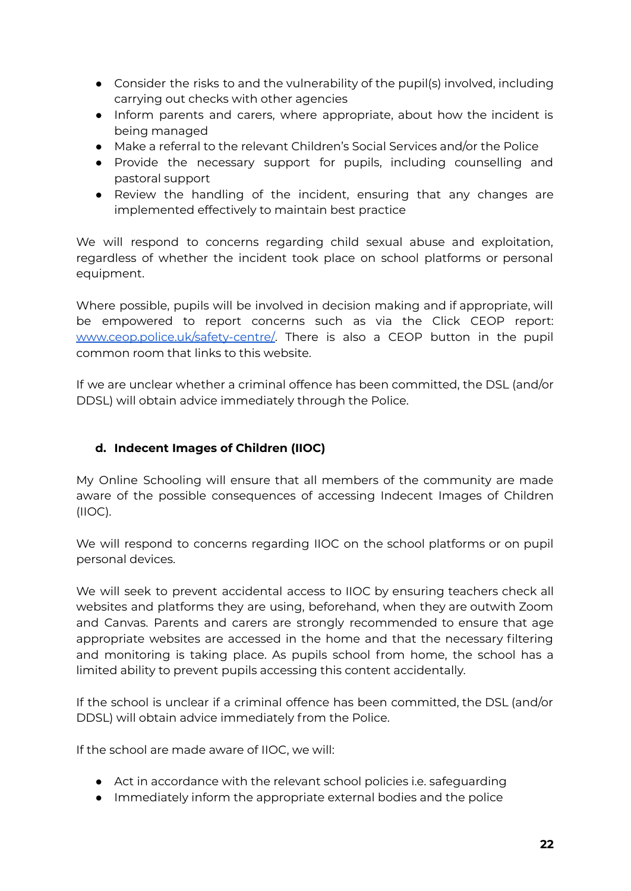- Consider the risks to and the vulnerability of the pupil(s) involved, including carrying out checks with other agencies
- Inform parents and carers, where appropriate, about how the incident is being managed
- Make a referral to the relevant Children's Social Services and/or the Police
- Provide the necessary support for pupils, including counselling and pastoral support
- Review the handling of the incident, ensuring that any changes are implemented effectively to maintain best practice

We will respond to concerns regarding child sexual abuse and exploitation, regardless of whether the incident took place on school platforms or personal equipment.

Where possible, pupils will be involved in decision making and if appropriate, will be empowered to report concerns such as via the Click CEOP report: [www.ceop.police.uk/safety-centre/.](http://www.ceop.police.uk/safety-centre/) There is also a CEOP button in the pupil common room that links to this website.

If we are unclear whether a criminal offence has been committed, the DSL (and/or DDSL) will obtain advice immediately through the Police.

## **d. Indecent Images of Children (IIOC)**

My Online Schooling will ensure that all members of the community are made aware of the possible consequences of accessing Indecent Images of Children (IIOC).

We will respond to concerns regarding IIOC on the school platforms or on pupil personal devices.

We will seek to prevent accidental access to IIOC by ensuring teachers check all websites and platforms they are using, beforehand, when they are outwith Zoom and Canvas. Parents and carers are strongly recommended to ensure that age appropriate websites are accessed in the home and that the necessary filtering and monitoring is taking place. As pupils school from home, the school has a limited ability to prevent pupils accessing this content accidentally.

If the school is unclear if a criminal offence has been committed, the DSL (and/or DDSL) will obtain advice immediately from the Police.

If the school are made aware of IIOC, we will:

- Act in accordance with the relevant school policies i.e. safeguarding
- Immediately inform the appropriate external bodies and the police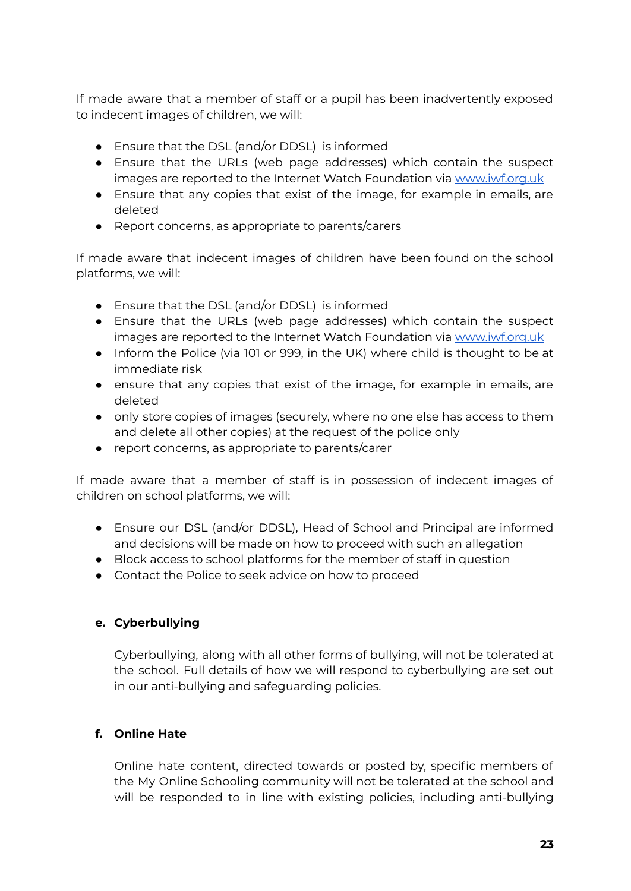If made aware that a member of staff or a pupil has been inadvertently exposed to indecent images of children, we will:

- Ensure that the DSL (and/or DDSL) is informed
- Ensure that the URLs (web page addresses) which contain the suspect images are reported to the Internet Watch Foundation via [www.iwf.org.uk](http://www.iwf.org.uk)
- Ensure that any copies that exist of the image, for example in emails, are deleted
- Report concerns, as appropriate to parents/carers

If made aware that indecent images of children have been found on the school platforms, we will:

- Ensure that the DSL (and/or DDSL) is informed
- Ensure that the URLs (web page addresses) which contain the suspect images are reported to the Internet Watch Foundation via [www.iwf.org.uk](http://www.iwf.org.uk)
- Inform the Police (via 101 or 999, in the UK) where child is thought to be at immediate risk
- ensure that any copies that exist of the image, for example in emails, are deleted
- only store copies of images (securely, where no one else has access to them and delete all other copies) at the request of the police only
- report concerns, as appropriate to parents/carer

If made aware that a member of staff is in possession of indecent images of children on school platforms, we will:

- Ensure our DSL (and/or DDSL), Head of School and Principal are informed and decisions will be made on how to proceed with such an allegation
- Block access to school platforms for the member of staff in question
- Contact the Police to seek advice on how to proceed

### **e. Cyberbullying**

Cyberbullying, along with all other forms of bullying, will not be tolerated at the school. Full details of how we will respond to cyberbullying are set out in our anti-bullying and safeguarding policies.

### **f. Online Hate**

Online hate content, directed towards or posted by, specific members of the My Online Schooling community will not be tolerated at the school and will be responded to in line with existing policies, including anti-bullying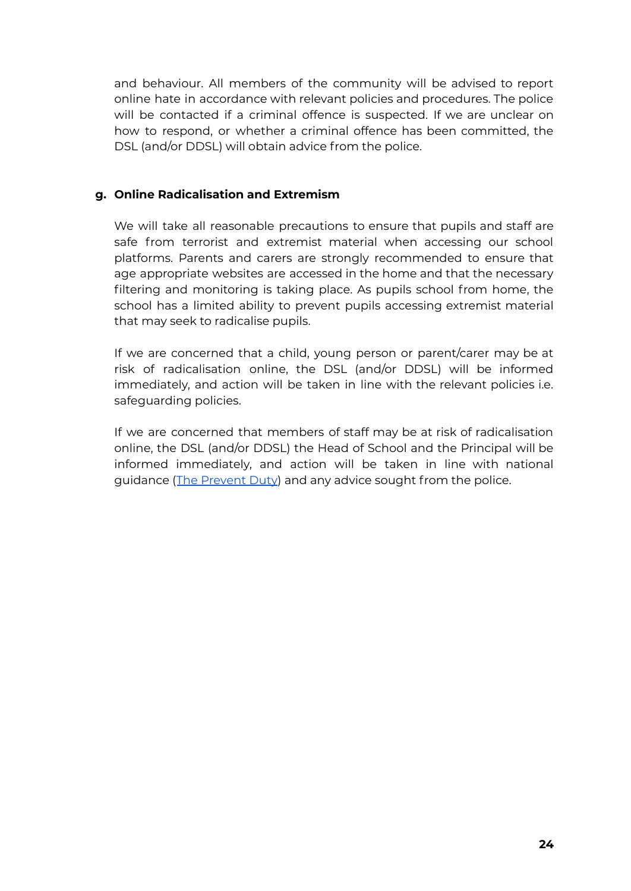and behaviour. All members of the community will be advised to report online hate in accordance with relevant policies and procedures. The police will be contacted if a criminal offence is suspected. If we are unclear on how to respond, or whether a criminal offence has been committed, the DSL (and/or DDSL) will obtain advice from the police.

### **g. Online Radicalisation and Extremism**

We will take all reasonable precautions to ensure that pupils and staff are safe from terrorist and extremist material when accessing our school platforms. Parents and carers are strongly recommended to ensure that age appropriate websites are accessed in the home and that the necessary filtering and monitoring is taking place. As pupils school from home, the school has a limited ability to prevent pupils accessing extremist material that may seek to radicalise pupils.

If we are concerned that a child, young person or parent/carer may be at risk of radicalisation online, the DSL (and/or DDSL) will be informed immediately, and action will be taken in line with the relevant policies i.e. safeguarding policies.

If we are concerned that members of staff may be at risk of radicalisation online, the DSL (and/or DDSL) the Head of School and the Principal will be informed immediately, and action will be taken in line with national guidance (The [Prevent](https://assets.publishing.service.gov.uk/government/uploads/system/uploads/attachment_data/file/439598/prevent-duty-departmental-advice-v6.pdf) Duty) and any advice sought from the police.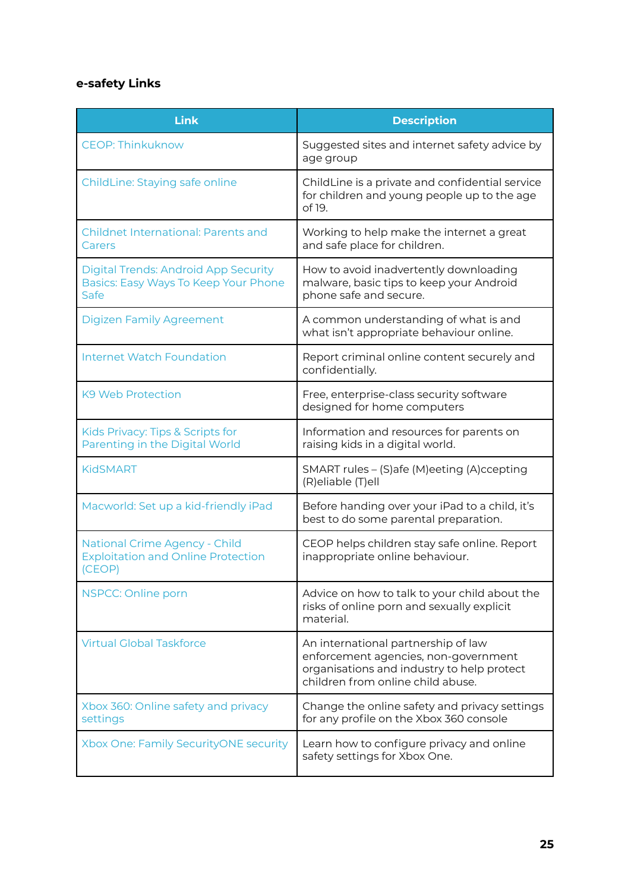# **e-safety Links**

| <b>Link</b>                                                                                 | <b>Description</b>                                                                                                                                             |
|---------------------------------------------------------------------------------------------|----------------------------------------------------------------------------------------------------------------------------------------------------------------|
| <b>CEOP: Thinkuknow</b>                                                                     | Suggested sites and internet safety advice by<br>age group                                                                                                     |
| ChildLine: Staying safe online                                                              | ChildLine is a private and confidential service<br>for children and young people up to the age<br>of 19.                                                       |
| <b>Childnet International: Parents and</b><br>Carers                                        | Working to help make the internet a great<br>and safe place for children.                                                                                      |
| <b>Digital Trends: Android App Security</b><br>Basics: Easy Ways To Keep Your Phone<br>Safe | How to avoid inadvertently downloading<br>malware, basic tips to keep your Android<br>phone safe and secure.                                                   |
| <b>Digizen Family Agreement</b>                                                             | A common understanding of what is and<br>what isn't appropriate behaviour online.                                                                              |
| <b>Internet Watch Foundation</b>                                                            | Report criminal online content securely and<br>confidentially.                                                                                                 |
| K <sub>9</sub> Web Protection                                                               | Free, enterprise-class security software<br>designed for home computers                                                                                        |
| Kids Privacy: Tips & Scripts for<br>Parenting in the Digital World                          | Information and resources for parents on<br>raising kids in a digital world.                                                                                   |
| <b>KidSMART</b>                                                                             | SMART rules - (S) afe (M) eeting (A) ccepting<br>(R)eliable (T)ell                                                                                             |
| Macworld: Set up a kid-friendly iPad                                                        | Before handing over your iPad to a child, it's<br>best to do some parental preparation.                                                                        |
| <b>National Crime Agency - Child</b><br><b>Exploitation and Online Protection</b><br>(CEOP) | CEOP helps children stay safe online. Report<br>inappropriate online behaviour.                                                                                |
| NSPCC: Online porn                                                                          | Advice on how to talk to your child about the<br>risks of online porn and sexually explicit<br>material.                                                       |
| <b>Virtual Global Taskforce</b>                                                             | An international partnership of law<br>enforcement agencies, non-government<br>organisations and industry to help protect<br>children from online child abuse. |
| Xbox 360: Online safety and privacy<br>settings                                             | Change the online safety and privacy settings<br>for any profile on the Xbox 360 console                                                                       |
| Xbox One: Family SecurityONE security                                                       | Learn how to configure privacy and online<br>safety settings for Xbox One.                                                                                     |